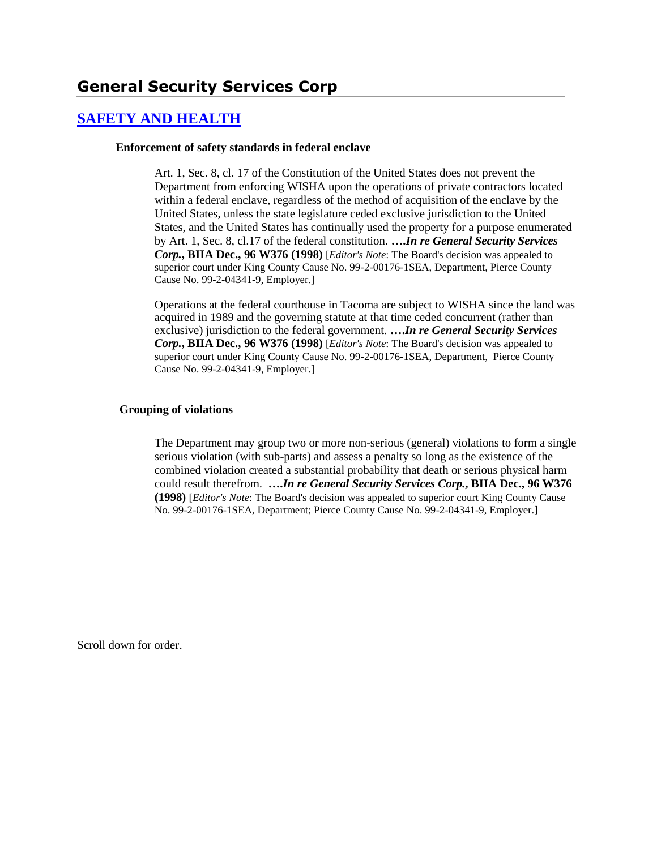# **[SAFETY AND HEALTH](http://www.biia.wa.gov/SDSubjectIndex.html#SAFETY_AND_HEALTH)**

#### **Enforcement of safety standards in federal enclave**

Art. 1, Sec. 8, cl. 17 of the Constitution of the United States does not prevent the Department from enforcing WISHA upon the operations of private contractors located within a federal enclave, regardless of the method of acquisition of the enclave by the United States, unless the state legislature ceded exclusive jurisdiction to the United States, and the United States has continually used the property for a purpose enumerated by Art. 1, Sec. 8, cl.17 of the federal constitution. **….***In re General Security Services Corp.***, BIIA Dec., 96 W376 (1998)** [*Editor's Note*: The Board's decision was appealed to superior court under King County Cause No. 99-2-00176-1SEA, Department, Pierce County Cause No. 99-2-04341-9, Employer.]

Operations at the federal courthouse in Tacoma are subject to WISHA since the land was acquired in 1989 and the governing statute at that time ceded concurrent (rather than exclusive) jurisdiction to the federal government. **….***In re General Security Services Corp.***, BIIA Dec., 96 W376 (1998)** [*Editor's Note*: The Board's decision was appealed to superior court under King County Cause No. 99-2-00176-1SEA, Department, Pierce County Cause No. 99-2-04341-9, Employer.]

#### **Grouping of violations**

The Department may group two or more non-serious (general) violations to form a single serious violation (with sub-parts) and assess a penalty so long as the existence of the combined violation created a substantial probability that death or serious physical harm could result therefrom. **….***In re General Security Services Corp.***, BIIA Dec., 96 W376 (1998)** [*Editor's Note*: The Board's decision was appealed to superior court King County Cause No. 99-2-00176-1SEA, Department; Pierce County Cause No. 99-2-04341-9, Employer.]

Scroll down for order.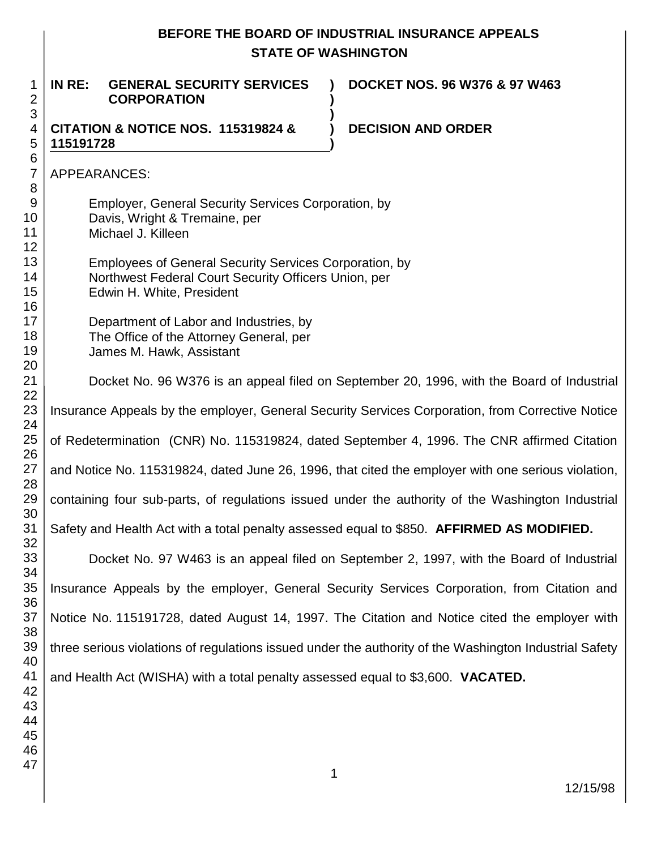| BEFORE THE BOARD OF INDUSTRIAL INSURANCE APPEALS<br><b>STATE OF WASHINGTON</b>                                    |                                                                                                                                                    |                                                                                           |  |
|-------------------------------------------------------------------------------------------------------------------|----------------------------------------------------------------------------------------------------------------------------------------------------|-------------------------------------------------------------------------------------------|--|
| IN RE:                                                                                                            | <b>GENERAL SECURITY SERVICES</b><br><b>CORPORATION</b>                                                                                             | <b>DOCKET NOS. 96 W376 &amp; 97 W463</b>                                                  |  |
| <b>CITATION &amp; NOTICE NOS. 115319824 &amp;</b><br>115191728                                                    |                                                                                                                                                    | <b>DECISION AND ORDER</b>                                                                 |  |
| APPEARANCES:                                                                                                      |                                                                                                                                                    |                                                                                           |  |
| <b>Employer, General Security Services Corporation, by</b><br>Davis, Wright & Tremaine, per<br>Michael J. Killeen |                                                                                                                                                    |                                                                                           |  |
|                                                                                                                   | <b>Employees of General Security Services Corporation, by</b><br>Northwest Federal Court Security Officers Union, per<br>Edwin H. White, President |                                                                                           |  |
|                                                                                                                   | Department of Labor and Industries, by<br>The Office of the Attorney General, per<br>James M. Hawk, Assistant                                      |                                                                                           |  |
|                                                                                                                   |                                                                                                                                                    | Docket No. 96 W376 is an appeal filed on September 20, 1996, with the Board of Industrial |  |
| Insurance Appeals by the employer, General Security Services Corporation, from Corrective Notice                  |                                                                                                                                                    |                                                                                           |  |
| of Redetermination (CNR) No. 115319824, dated September 4, 1996. The CNR affirmed Citation                        |                                                                                                                                                    |                                                                                           |  |
| and Notice No. 115319824, dated June 26, 1996, that cited the employer with one serious violation,                |                                                                                                                                                    |                                                                                           |  |
| containing four sub-parts, of regulations issued under the authority of the Washington Industrial                 |                                                                                                                                                    |                                                                                           |  |
| Safety and Health Act with a total penalty assessed equal to \$850. AFFIRMED AS MODIFIED.                         |                                                                                                                                                    |                                                                                           |  |
|                                                                                                                   |                                                                                                                                                    | Docket No. 97 W463 is an appeal filed on September 2, 1997, with the Board of Industrial  |  |

33 34 35 36 37 38 39 Insurance Appeals by the employer, General Security Services Corporation, from Citation and Notice No. 115191728, dated August 14, 1997. The Citation and Notice cited the employer with three serious violations of regulations issued under the authority of the Washington Industrial Safety and Health Act (WISHA) with a total penalty assessed equal to \$3,600. **VACATED.**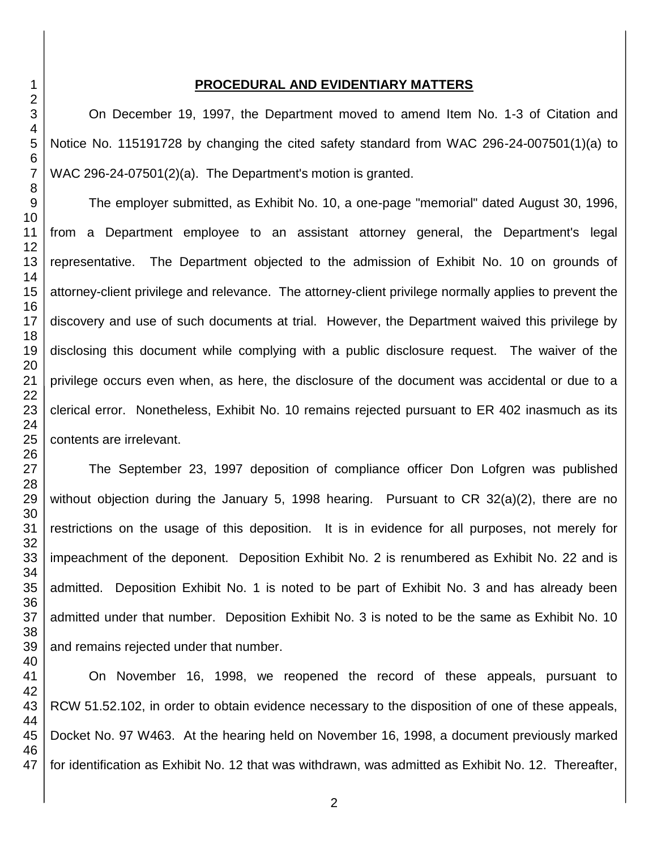#### **PROCEDURAL AND EVIDENTIARY MATTERS**

On December 19, 1997, the Department moved to amend Item No. 1-3 of Citation and Notice No. 115191728 by changing the cited safety standard from WAC 296-24-007501(1)(a) to WAC 296-24-07501(2)(a). The Department's motion is granted.

The employer submitted, as Exhibit No. 10, a one-page "memorial" dated August 30, 1996, from a Department employee to an assistant attorney general, the Department's legal representative. The Department objected to the admission of Exhibit No. 10 on grounds of attorney-client privilege and relevance. The attorney-client privilege normally applies to prevent the discovery and use of such documents at trial. However, the Department waived this privilege by disclosing this document while complying with a public disclosure request. The waiver of the privilege occurs even when, as here, the disclosure of the document was accidental or due to a clerical error. Nonetheless, Exhibit No. 10 remains rejected pursuant to ER 402 inasmuch as its contents are irrelevant.

The September 23, 1997 deposition of compliance officer Don Lofgren was published without objection during the January 5, 1998 hearing. Pursuant to CR 32(a)(2), there are no restrictions on the usage of this deposition. It is in evidence for all purposes, not merely for impeachment of the deponent. Deposition Exhibit No. 2 is renumbered as Exhibit No. 22 and is admitted. Deposition Exhibit No. 1 is noted to be part of Exhibit No. 3 and has already been admitted under that number. Deposition Exhibit No. 3 is noted to be the same as Exhibit No. 10 and remains rejected under that number.

On November 16, 1998, we reopened the record of these appeals, pursuant to RCW 51.52.102, in order to obtain evidence necessary to the disposition of one of these appeals, Docket No. 97 W463. At the hearing held on November 16, 1998, a document previously marked for identification as Exhibit No. 12 that was withdrawn, was admitted as Exhibit No. 12. Thereafter,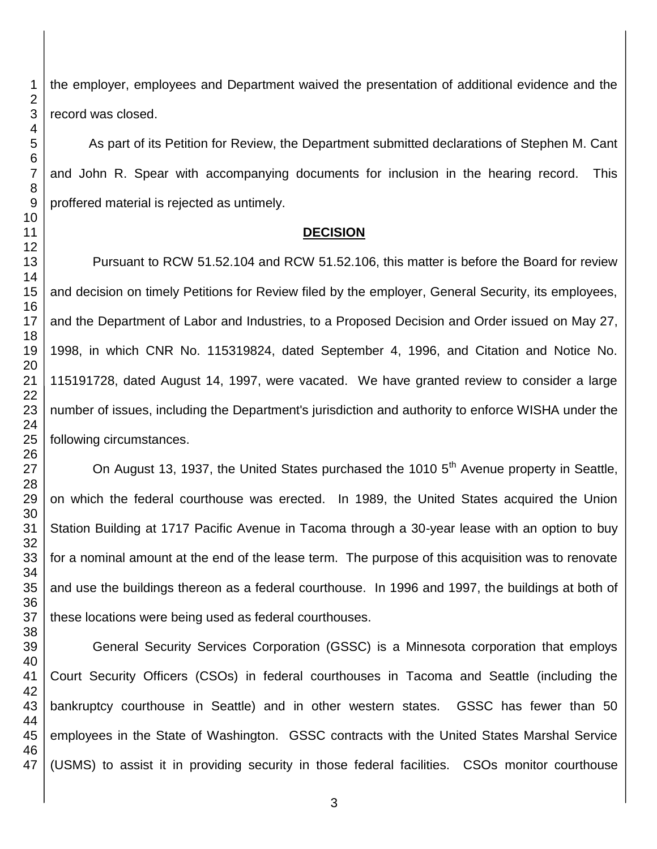the employer, employees and Department waived the presentation of additional evidence and the record was closed.

As part of its Petition for Review, the Department submitted declarations of Stephen M. Cant and John R. Spear with accompanying documents for inclusion in the hearing record. This proffered material is rejected as untimely.

## **DECISION**

Pursuant to RCW 51.52.104 and RCW 51.52.106, this matter is before the Board for review and decision on timely Petitions for Review filed by the employer, General Security, its employees, and the Department of Labor and Industries, to a Proposed Decision and Order issued on May 27, 1998, in which CNR No. 115319824, dated September 4, 1996, and Citation and Notice No. 115191728, dated August 14, 1997, were vacated. We have granted review to consider a large number of issues, including the Department's jurisdiction and authority to enforce WISHA under the following circumstances.

On August 13, 1937, the United States purchased the 1010  $5<sup>th</sup>$  Avenue property in Seattle, on which the federal courthouse was erected. In 1989, the United States acquired the Union Station Building at 1717 Pacific Avenue in Tacoma through a 30-year lease with an option to buy for a nominal amount at the end of the lease term. The purpose of this acquisition was to renovate and use the buildings thereon as a federal courthouse. In 1996 and 1997, the buildings at both of these locations were being used as federal courthouses.

 General Security Services Corporation (GSSC) is a Minnesota corporation that employs Court Security Officers (CSOs) in federal courthouses in Tacoma and Seattle (including the bankruptcy courthouse in Seattle) and in other western states. GSSC has fewer than 50 employees in the State of Washington. GSSC contracts with the United States Marshal Service (USMS) to assist it in providing security in those federal facilities. CSOs monitor courthouse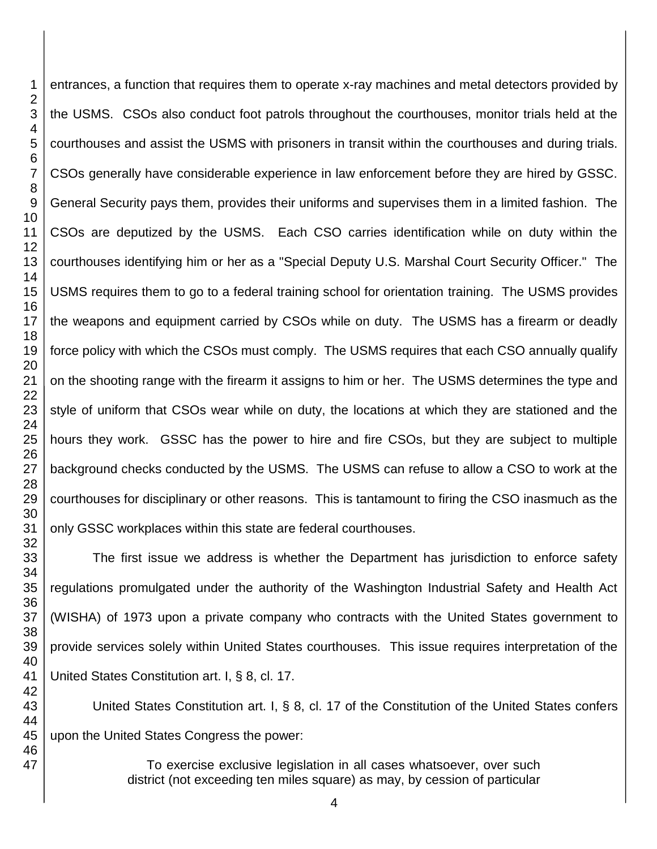entrances, a function that requires them to operate x-ray machines and metal detectors provided by the USMS. CSOs also conduct foot patrols throughout the courthouses, monitor trials held at the courthouses and assist the USMS with prisoners in transit within the courthouses and during trials. CSOs generally have considerable experience in law enforcement before they are hired by GSSC. General Security pays them, provides their uniforms and supervises them in a limited fashion. The CSOs are deputized by the USMS. Each CSO carries identification while on duty within the courthouses identifying him or her as a "Special Deputy U.S. Marshal Court Security Officer." The USMS requires them to go to a federal training school for orientation training. The USMS provides the weapons and equipment carried by CSOs while on duty. The USMS has a firearm or deadly force policy with which the CSOs must comply. The USMS requires that each CSO annually qualify on the shooting range with the firearm it assigns to him or her. The USMS determines the type and style of uniform that CSOs wear while on duty, the locations at which they are stationed and the hours they work. GSSC has the power to hire and fire CSOs, but they are subject to multiple background checks conducted by the USMS. The USMS can refuse to allow a CSO to work at the courthouses for disciplinary or other reasons. This is tantamount to firing the CSO inasmuch as the only GSSC workplaces within this state are federal courthouses.

The first issue we address is whether the Department has jurisdiction to enforce safety regulations promulgated under the authority of the Washington Industrial Safety and Health Act (WISHA) of 1973 upon a private company who contracts with the United States government to provide services solely within United States courthouses. This issue requires interpretation of the United States Constitution art. I, § 8, cl. 17.

United States Constitution art. I, § 8, cl. 17 of the Constitution of the United States confers upon the United States Congress the power:

> To exercise exclusive legislation in all cases whatsoever, over such district (not exceeding ten miles square) as may, by cession of particular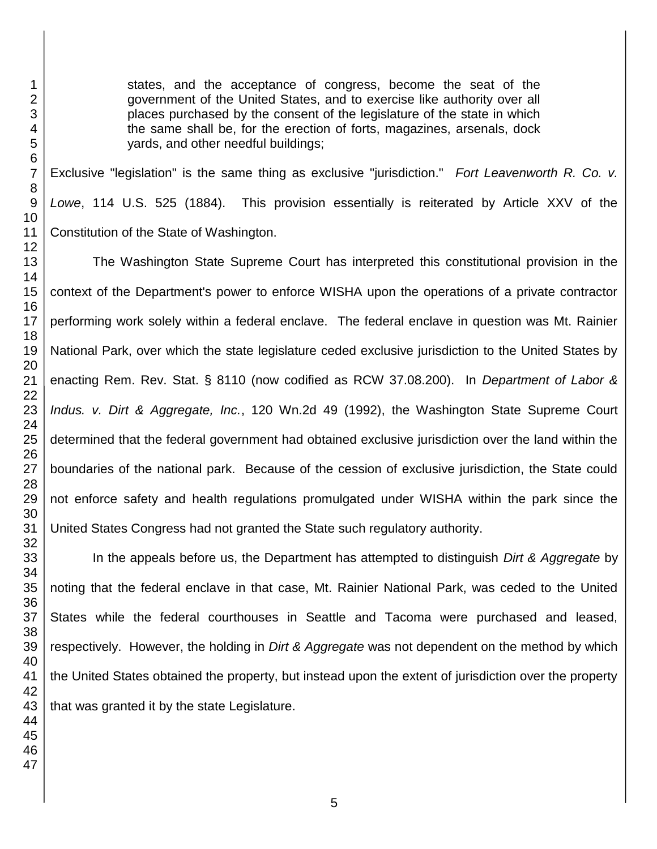states, and the acceptance of congress, become the seat of the government of the United States, and to exercise like authority over all places purchased by the consent of the legislature of the state in which the same shall be, for the erection of forts, magazines, arsenals, dock yards, and other needful buildings;

Exclusive "legislation" is the same thing as exclusive "jurisdiction." *Fort Leavenworth R. Co. v. Lowe*, 114 U.S. 525 (1884). This provision essentially is reiterated by Article XXV of the Constitution of the State of Washington.

The Washington State Supreme Court has interpreted this constitutional provision in the context of the Department's power to enforce WISHA upon the operations of a private contractor performing work solely within a federal enclave. The federal enclave in question was Mt. Rainier National Park, over which the state legislature ceded exclusive jurisdiction to the United States by enacting Rem. Rev. Stat. § 8110 (now codified as RCW 37.08.200). In *Department of Labor & Indus. v. Dirt & Aggregate, Inc.*, 120 Wn.2d 49 (1992), the Washington State Supreme Court determined that the federal government had obtained exclusive jurisdiction over the land within the boundaries of the national park. Because of the cession of exclusive jurisdiction, the State could not enforce safety and health regulations promulgated under WISHA within the park since the United States Congress had not granted the State such regulatory authority.

In the appeals before us, the Department has attempted to distinguish *Dirt & Aggregate* by noting that the federal enclave in that case, Mt. Rainier National Park, was ceded to the United States while the federal courthouses in Seattle and Tacoma were purchased and leased, respectively. However, the holding in *Dirt & Aggregate* was not dependent on the method by which the United States obtained the property, but instead upon the extent of jurisdiction over the property that was granted it by the state Legislature.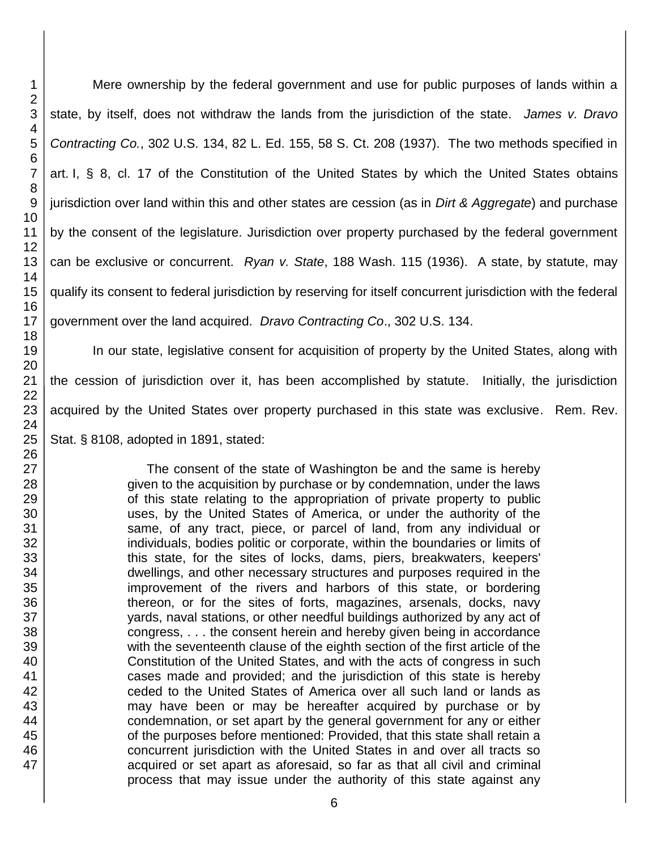Mere ownership by the federal government and use for public purposes of lands within a state, by itself, does not withdraw the lands from the jurisdiction of the state. *James v. Dravo Contracting Co.*, 302 U.S. 134, 82 L. Ed. 155, 58 S. Ct. 208 (1937). The two methods specified in art. I, § 8, cl. 17 of the Constitution of the United States by which the United States obtains jurisdiction over land within this and other states are cession (as in *Dirt & Aggregate*) and purchase by the consent of the legislature. Jurisdiction over property purchased by the federal government can be exclusive or concurrent. *Ryan v. State*, 188 Wash. 115 (1936). A state, by statute, may qualify its consent to federal jurisdiction by reserving for itself concurrent jurisdiction with the federal government over the land acquired. *Dravo Contracting Co*., 302 U.S. 134.

In our state, legislative consent for acquisition of property by the United States, along with the cession of jurisdiction over it, has been accomplished by statute. Initially, the jurisdiction acquired by the United States over property purchased in this state was exclusive. Rem. Rev. Stat. § 8108, adopted in 1891, stated:

> The consent of the state of Washington be and the same is hereby given to the acquisition by purchase or by condemnation, under the laws of this state relating to the appropriation of private property to public uses, by the United States of America, or under the authority of the same, of any tract, piece, or parcel of land, from any individual or individuals, bodies politic or corporate, within the boundaries or limits of this state, for the sites of locks, dams, piers, breakwaters, keepers' dwellings, and other necessary structures and purposes required in the improvement of the rivers and harbors of this state, or bordering thereon, or for the sites of forts, magazines, arsenals, docks, navy yards, naval stations, or other needful buildings authorized by any act of congress, . . . the consent herein and hereby given being in accordance with the seventeenth clause of the eighth section of the first article of the Constitution of the United States, and with the acts of congress in such cases made and provided; and the jurisdiction of this state is hereby ceded to the United States of America over all such land or lands as may have been or may be hereafter acquired by purchase or by condemnation, or set apart by the general government for any or either of the purposes before mentioned: Provided, that this state shall retain a concurrent jurisdiction with the United States in and over all tracts so acquired or set apart as aforesaid, so far as that all civil and criminal process that may issue under the authority of this state against any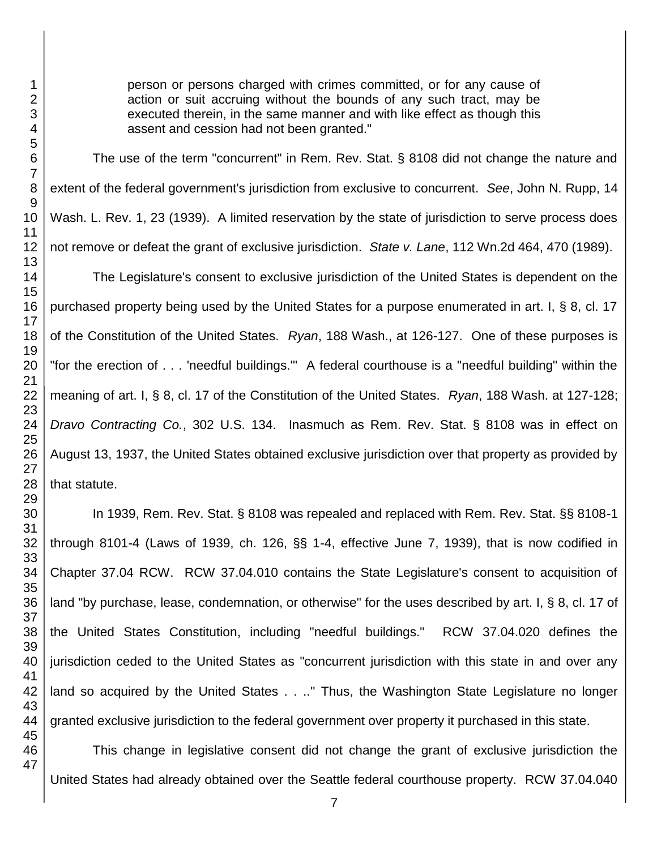person or persons charged with crimes committed, or for any cause of action or suit accruing without the bounds of any such tract, may be executed therein, in the same manner and with like effect as though this assent and cession had not been granted."

The use of the term "concurrent" in Rem. Rev. Stat. § 8108 did not change the nature and extent of the federal government's jurisdiction from exclusive to concurrent. *See*, John N. Rupp, 14 Wash. L. Rev. 1, 23 (1939). A limited reservation by the state of jurisdiction to serve process does not remove or defeat the grant of exclusive jurisdiction. *State v. Lane*, 112 Wn.2d 464, 470 (1989).

The Legislature's consent to exclusive jurisdiction of the United States is dependent on the purchased property being used by the United States for a purpose enumerated in art. I, § 8, cl. 17 of the Constitution of the United States. *Ryan*, 188 Wash., at 126-127. One of these purposes is "for the erection of . . . 'needful buildings.'" A federal courthouse is a "needful building" within the meaning of art. I, § 8, cl. 17 of the Constitution of the United States. *Ryan*, 188 Wash. at 127-128; *Dravo Contracting Co.*, 302 U.S. 134. Inasmuch as Rem. Rev. Stat. § 8108 was in effect on August 13, 1937, the United States obtained exclusive jurisdiction over that property as provided by that statute.

In 1939, Rem. Rev. Stat. § 8108 was repealed and replaced with Rem. Rev. Stat. §§ 8108-1 through 8101-4 (Laws of 1939, ch. 126, §§ 1-4, effective June 7, 1939), that is now codified in Chapter 37.04 RCW. RCW 37.04.010 contains the State Legislature's consent to acquisition of land "by purchase, lease, condemnation, or otherwise" for the uses described by art. I, § 8, cl. 17 of the United States Constitution, including "needful buildings." RCW 37.04.020 defines the jurisdiction ceded to the United States as "concurrent jurisdiction with this state in and over any land so acquired by the United States . . .." Thus, the Washington State Legislature no longer granted exclusive jurisdiction to the federal government over property it purchased in this state.

This change in legislative consent did not change the grant of exclusive jurisdiction the United States had already obtained over the Seattle federal courthouse property. RCW 37.04.040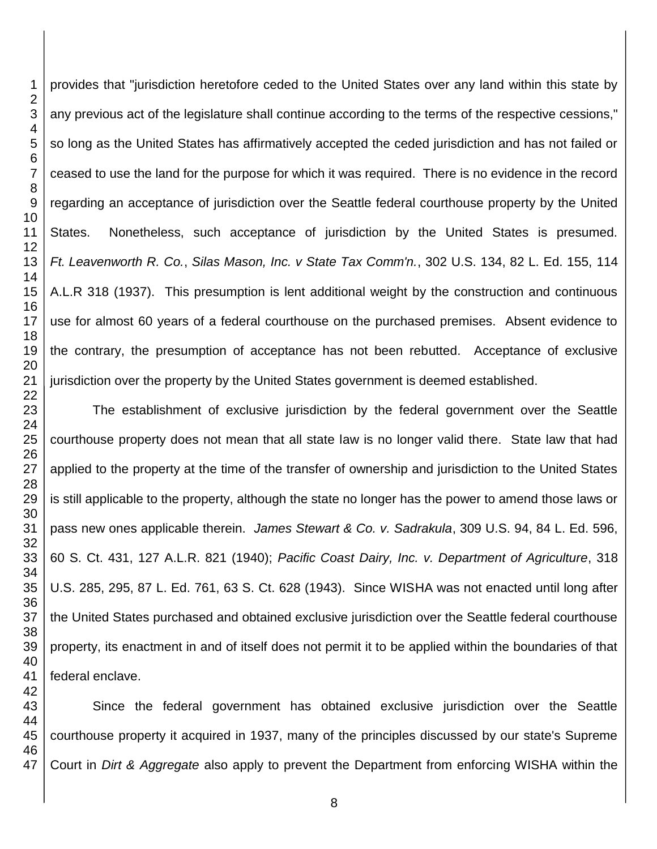provides that "jurisdiction heretofore ceded to the United States over any land within this state by any previous act of the legislature shall continue according to the terms of the respective cessions," so long as the United States has affirmatively accepted the ceded jurisdiction and has not failed or ceased to use the land for the purpose for which it was required. There is no evidence in the record regarding an acceptance of jurisdiction over the Seattle federal courthouse property by the United States. Nonetheless, such acceptance of jurisdiction by the United States is presumed. *Ft. Leavenworth R. Co.*, *Silas Mason, Inc. v State Tax Comm'n.*, 302 U.S. 134, 82 L. Ed. 155, 114 A.L.R 318 (1937). This presumption is lent additional weight by the construction and continuous use for almost 60 years of a federal courthouse on the purchased premises. Absent evidence to the contrary, the presumption of acceptance has not been rebutted. Acceptance of exclusive jurisdiction over the property by the United States government is deemed established.

The establishment of exclusive jurisdiction by the federal government over the Seattle courthouse property does not mean that all state law is no longer valid there. State law that had applied to the property at the time of the transfer of ownership and jurisdiction to the United States is still applicable to the property, although the state no longer has the power to amend those laws or pass new ones applicable therein. *James Stewart & Co. v. Sadrakula*, 309 U.S. 94, 84 L. Ed. 596, 60 S. Ct. 431, 127 A.L.R. 821 (1940); *Pacific Coast Dairy, Inc. v. Department of Agriculture*, 318 U.S. 285, 295, 87 L. Ed. 761, 63 S. Ct. 628 (1943). Since WISHA was not enacted until long after the United States purchased and obtained exclusive jurisdiction over the Seattle federal courthouse property, its enactment in and of itself does not permit it to be applied within the boundaries of that federal enclave.

Since the federal government has obtained exclusive jurisdiction over the Seattle courthouse property it acquired in 1937, many of the principles discussed by our state's Supreme Court in *Dirt & Aggregate* also apply to prevent the Department from enforcing WISHA within the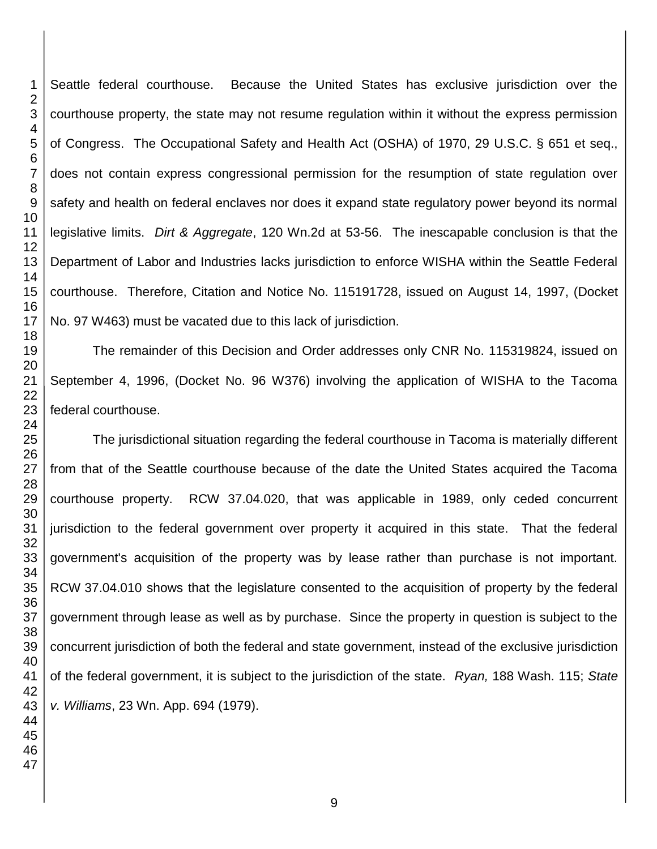Seattle federal courthouse. Because the United States has exclusive jurisdiction over the courthouse property, the state may not resume regulation within it without the express permission of Congress. The Occupational Safety and Health Act (OSHA) of 1970, 29 U.S.C. § 651 et seq., does not contain express congressional permission for the resumption of state regulation over safety and health on federal enclaves nor does it expand state regulatory power beyond its normal legislative limits. *Dirt & Aggregate*, 120 Wn.2d at 53-56. The inescapable conclusion is that the Department of Labor and Industries lacks jurisdiction to enforce WISHA within the Seattle Federal courthouse. Therefore, Citation and Notice No. 115191728, issued on August 14, 1997, (Docket No. 97 W463) must be vacated due to this lack of jurisdiction.

The remainder of this Decision and Order addresses only CNR No. 115319824, issued on September 4, 1996, (Docket No. 96 W376) involving the application of WISHA to the Tacoma federal courthouse.

The jurisdictional situation regarding the federal courthouse in Tacoma is materially different from that of the Seattle courthouse because of the date the United States acquired the Tacoma courthouse property. RCW 37.04.020, that was applicable in 1989, only ceded concurrent jurisdiction to the federal government over property it acquired in this state. That the federal government's acquisition of the property was by lease rather than purchase is not important. RCW 37.04.010 shows that the legislature consented to the acquisition of property by the federal government through lease as well as by purchase. Since the property in question is subject to the concurrent jurisdiction of both the federal and state government, instead of the exclusive jurisdiction of the federal government, it is subject to the jurisdiction of the state. *Ryan,* 188 Wash. 115; *State v. Williams*, 23 Wn. App. 694 (1979).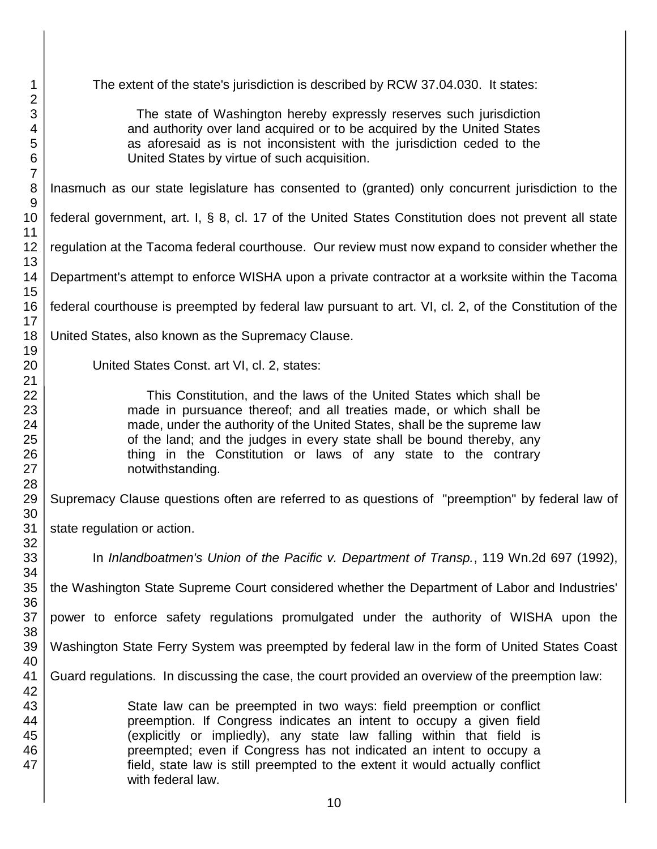The extent of the state's jurisdiction is described by RCW 37.04.030. It states: The state of Washington hereby expressly reserves such jurisdiction and authority over land acquired or to be acquired by the United States as aforesaid as is not inconsistent with the jurisdiction ceded to the United States by virtue of such acquisition. Inasmuch as our state legislature has consented to (granted) only concurrent jurisdiction to the federal government, art. I, § 8, cl. 17 of the United States Constitution does not prevent all state regulation at the Tacoma federal courthouse. Our review must now expand to consider whether the Department's attempt to enforce WISHA upon a private contractor at a worksite within the Tacoma federal courthouse is preempted by federal law pursuant to art. VI, cl. 2, of the Constitution of the United States, also known as the Supremacy Clause. United States Const. art VI, cl. 2, states: This Constitution, and the laws of the United States which shall be made in pursuance thereof; and all treaties made, or which shall be made, under the authority of the United States, shall be the supreme law of the land; and the judges in every state shall be bound thereby, any thing in the Constitution or laws of any state to the contrary notwithstanding. Supremacy Clause questions often are referred to as questions of "preemption" by federal law of state regulation or action. In *Inlandboatmen's Union of the Pacific v. Department of Transp.*, 119 Wn.2d 697 (1992), the Washington State Supreme Court considered whether the Department of Labor and Industries' power to enforce safety regulations promulgated under the authority of WISHA upon the Washington State Ferry System was preempted by federal law in the form of United States Coast Guard regulations. In discussing the case, the court provided an overview of the preemption law: State law can be preempted in two ways: field preemption or conflict preemption. If Congress indicates an intent to occupy a given field (explicitly or impliedly), any state law falling within that field is preempted; even if Congress has not indicated an intent to occupy a field, state law is still preempted to the extent it would actually conflict with federal law.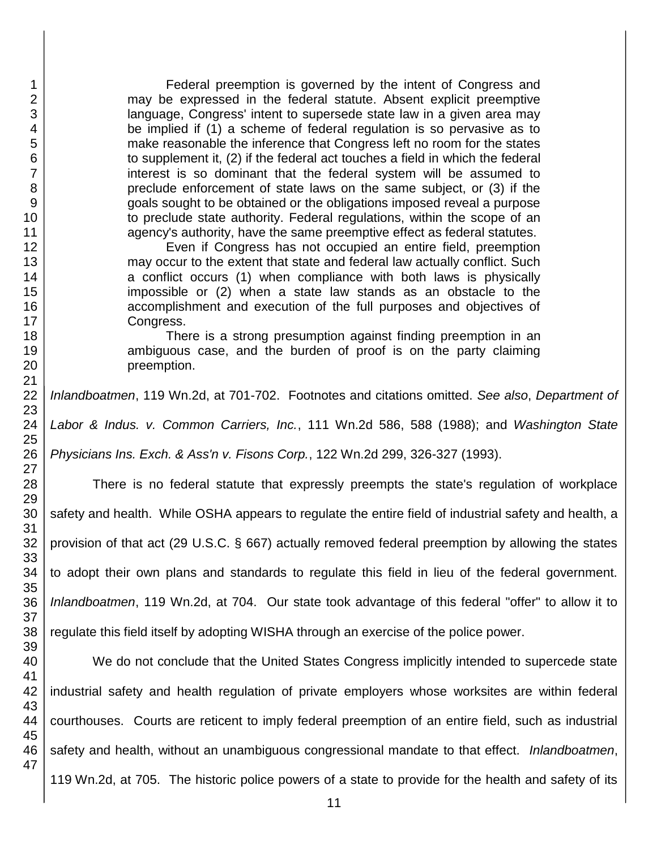Federal preemption is governed by the intent of Congress and may be expressed in the federal statute. Absent explicit preemptive language, Congress' intent to supersede state law in a given area may be implied if (1) a scheme of federal regulation is so pervasive as to make reasonable the inference that Congress left no room for the states to supplement it, (2) if the federal act touches a field in which the federal interest is so dominant that the federal system will be assumed to preclude enforcement of state laws on the same subject, or (3) if the goals sought to be obtained or the obligations imposed reveal a purpose to preclude state authority. Federal regulations, within the scope of an agency's authority, have the same preemptive effect as federal statutes.

Even if Congress has not occupied an entire field, preemption may occur to the extent that state and federal law actually conflict. Such a conflict occurs (1) when compliance with both laws is physically impossible or (2) when a state law stands as an obstacle to the accomplishment and execution of the full purposes and objectives of Congress.

There is a strong presumption against finding preemption in an ambiguous case, and the burden of proof is on the party claiming preemption.

*Inlandboatmen*, 119 Wn.2d, at 701-702. Footnotes and citations omitted. *See also*, *Department of* 

*Labor & Indus. v. Common Carriers, Inc.*, 111 Wn.2d 586, 588 (1988); and *Washington State* 

*Physicians Ins. Exch. & Ass'n v. Fisons Corp.*, 122 Wn.2d 299, 326-327 (1993).

There is no federal statute that expressly preempts the state's regulation of workplace safety and health. While OSHA appears to regulate the entire field of industrial safety and health, a provision of that act (29 U.S.C. § 667) actually removed federal preemption by allowing the states to adopt their own plans and standards to regulate this field in lieu of the federal government. *Inlandboatmen*, 119 Wn.2d, at 704. Our state took advantage of this federal "offer" to allow it to regulate this field itself by adopting WISHA through an exercise of the police power.

40 41 42 43 44 45 46 47 We do not conclude that the United States Congress implicitly intended to supercede state industrial safety and health regulation of private employers whose worksites are within federal courthouses. Courts are reticent to imply federal preemption of an entire field, such as industrial safety and health, without an unambiguous congressional mandate to that effect. *Inlandboatmen*, 119 Wn.2d, at 705. The historic police powers of a state to provide for the health and safety of its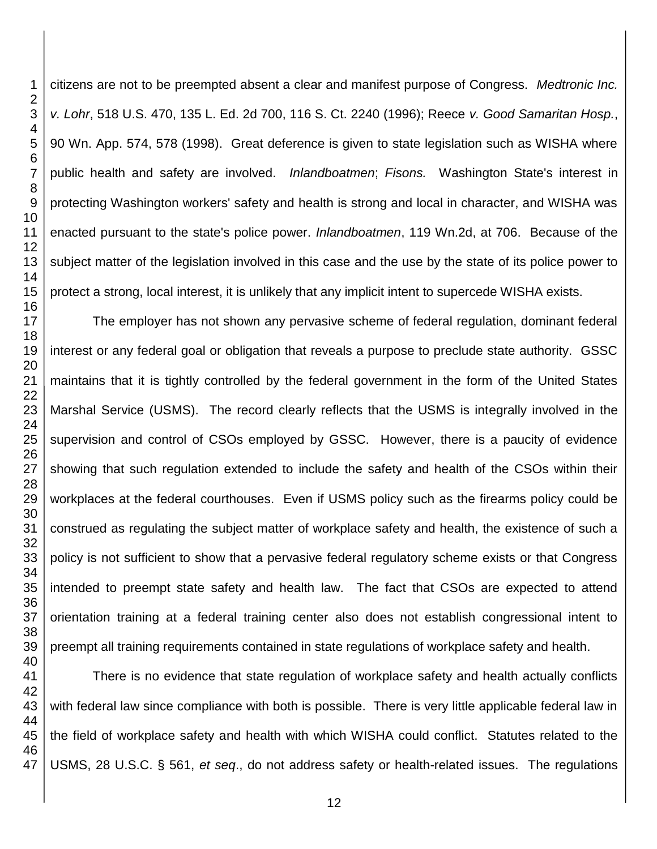citizens are not to be preempted absent a clear and manifest purpose of Congress. *Medtronic Inc. v. Lohr*, 518 U.S. 470, 135 L. Ed. 2d 700, 116 S. Ct. 2240 (1996); Reece *v. Good Samaritan Hosp.*, 90 Wn. App. 574, 578 (1998). Great deference is given to state legislation such as WISHA where public health and safety are involved. *Inlandboatmen*; *Fisons.* Washington State's interest in protecting Washington workers' safety and health is strong and local in character, and WISHA was enacted pursuant to the state's police power. *Inlandboatmen*, 119 Wn.2d, at 706. Because of the subject matter of the legislation involved in this case and the use by the state of its police power to protect a strong, local interest, it is unlikely that any implicit intent to supercede WISHA exists.

The employer has not shown any pervasive scheme of federal regulation, dominant federal interest or any federal goal or obligation that reveals a purpose to preclude state authority. GSSC maintains that it is tightly controlled by the federal government in the form of the United States Marshal Service (USMS). The record clearly reflects that the USMS is integrally involved in the supervision and control of CSOs employed by GSSC. However, there is a paucity of evidence showing that such regulation extended to include the safety and health of the CSOs within their workplaces at the federal courthouses. Even if USMS policy such as the firearms policy could be construed as regulating the subject matter of workplace safety and health, the existence of such a policy is not sufficient to show that a pervasive federal regulatory scheme exists or that Congress intended to preempt state safety and health law. The fact that CSOs are expected to attend orientation training at a federal training center also does not establish congressional intent to preempt all training requirements contained in state regulations of workplace safety and health.

 There is no evidence that state regulation of workplace safety and health actually conflicts with federal law since compliance with both is possible. There is very little applicable federal law in the field of workplace safety and health with which WISHA could conflict. Statutes related to the USMS, 28 U.S.C. § 561, *et seq*., do not address safety or health-related issues. The regulations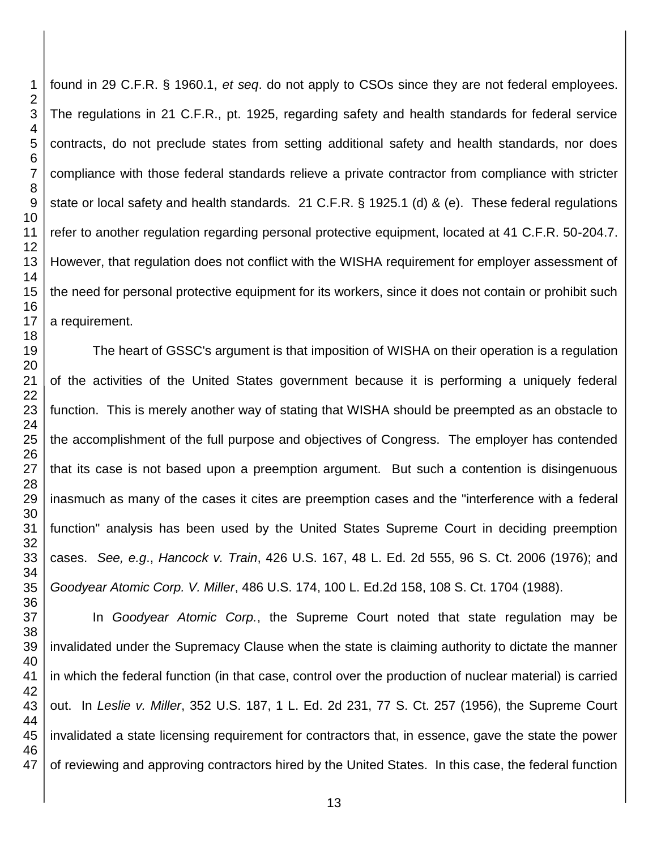found in 29 C.F.R. § 1960.1, *et seq*. do not apply to CSOs since they are not federal employees. The regulations in 21 C.F.R., pt. 1925, regarding safety and health standards for federal service contracts, do not preclude states from setting additional safety and health standards, nor does compliance with those federal standards relieve a private contractor from compliance with stricter state or local safety and health standards. 21 C.F.R. § 1925.1 (d) & (e). These federal regulations refer to another regulation regarding personal protective equipment, located at 41 C.F.R. 50-204.7. However, that regulation does not conflict with the WISHA requirement for employer assessment of the need for personal protective equipment for its workers, since it does not contain or prohibit such a requirement.

The heart of GSSC's argument is that imposition of WISHA on their operation is a regulation of the activities of the United States government because it is performing a uniquely federal function. This is merely another way of stating that WISHA should be preempted as an obstacle to the accomplishment of the full purpose and objectives of Congress. The employer has contended that its case is not based upon a preemption argument. But such a contention is disingenuous inasmuch as many of the cases it cites are preemption cases and the "interference with a federal function" analysis has been used by the United States Supreme Court in deciding preemption cases. *See, e.g*., *Hancock v. Train*, 426 U.S. 167, 48 L. Ed. 2d 555, 96 S. Ct. 2006 (1976); and *Goodyear Atomic Corp. V. Miller*, 486 U.S. 174, 100 L. Ed.2d 158, 108 S. Ct. 1704 (1988).

In *Goodyear Atomic Corp.*, the Supreme Court noted that state regulation may be invalidated under the Supremacy Clause when the state is claiming authority to dictate the manner in which the federal function (in that case, control over the production of nuclear material) is carried out. In *Leslie v. Miller*, 352 U.S. 187, 1 L. Ed. 2d 231, 77 S. Ct. 257 (1956), the Supreme Court invalidated a state licensing requirement for contractors that, in essence, gave the state the power of reviewing and approving contractors hired by the United States. In this case, the federal function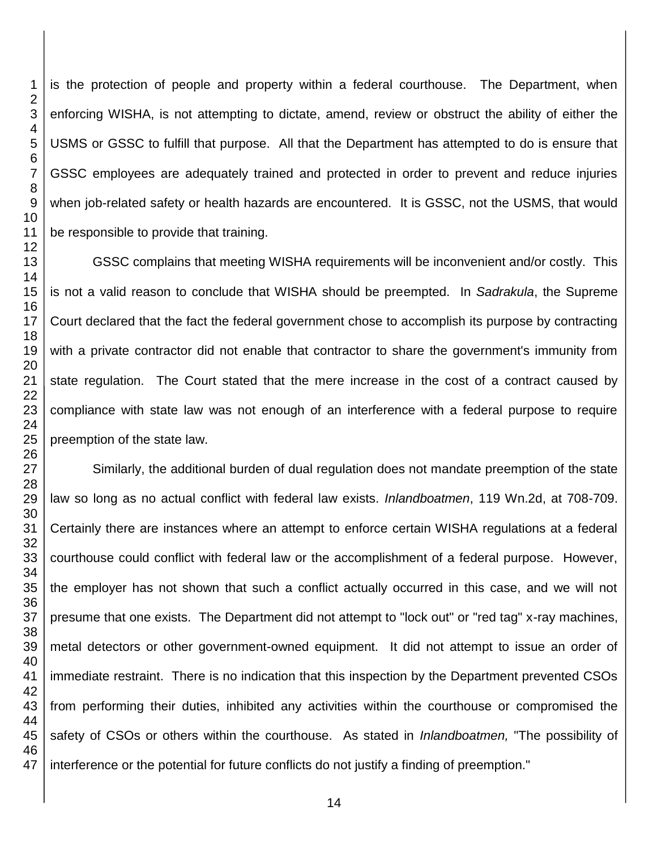is the protection of people and property within a federal courthouse. The Department, when enforcing WISHA, is not attempting to dictate, amend, review or obstruct the ability of either the USMS or GSSC to fulfill that purpose. All that the Department has attempted to do is ensure that GSSC employees are adequately trained and protected in order to prevent and reduce injuries when job-related safety or health hazards are encountered. It is GSSC, not the USMS, that would be responsible to provide that training.

GSSC complains that meeting WISHA requirements will be inconvenient and/or costly. This is not a valid reason to conclude that WISHA should be preempted. In *Sadrakula*, the Supreme Court declared that the fact the federal government chose to accomplish its purpose by contracting with a private contractor did not enable that contractor to share the government's immunity from state regulation. The Court stated that the mere increase in the cost of a contract caused by compliance with state law was not enough of an interference with a federal purpose to require preemption of the state law.

 Similarly, the additional burden of dual regulation does not mandate preemption of the state law so long as no actual conflict with federal law exists. *Inlandboatmen*, 119 Wn.2d, at 708-709. Certainly there are instances where an attempt to enforce certain WISHA regulations at a federal courthouse could conflict with federal law or the accomplishment of a federal purpose. However, the employer has not shown that such a conflict actually occurred in this case, and we will not presume that one exists. The Department did not attempt to "lock out" or "red tag" x-ray machines, metal detectors or other government-owned equipment. It did not attempt to issue an order of immediate restraint. There is no indication that this inspection by the Department prevented CSOs from performing their duties, inhibited any activities within the courthouse or compromised the safety of CSOs or others within the courthouse. As stated in *Inlandboatmen,* "The possibility of interference or the potential for future conflicts do not justify a finding of preemption."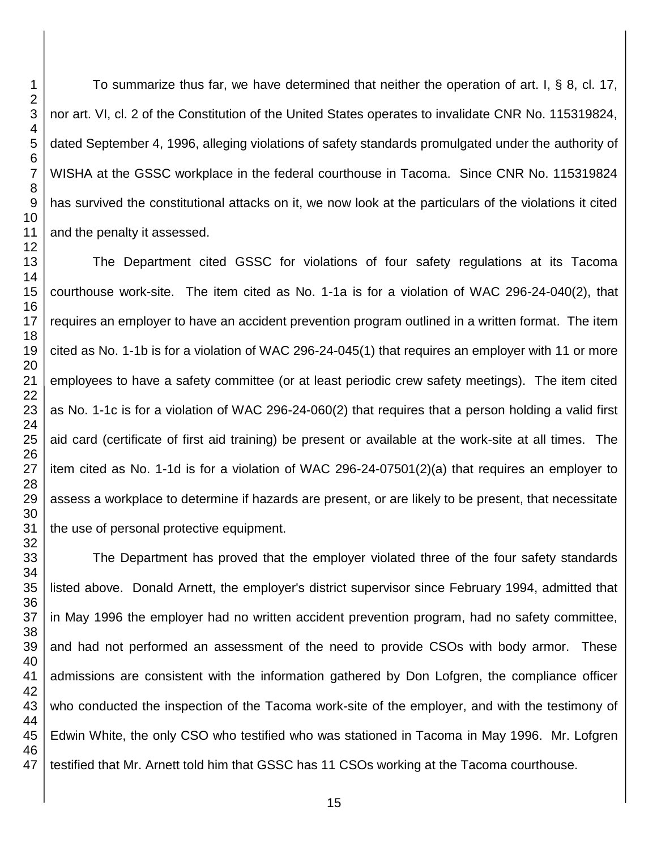To summarize thus far, we have determined that neither the operation of art. I, § 8, cl. 17, nor art. VI, cl. 2 of the Constitution of the United States operates to invalidate CNR No. 115319824, dated September 4, 1996, alleging violations of safety standards promulgated under the authority of WISHA at the GSSC workplace in the federal courthouse in Tacoma. Since CNR No. 115319824 has survived the constitutional attacks on it, we now look at the particulars of the violations it cited and the penalty it assessed.

The Department cited GSSC for violations of four safety regulations at its Tacoma courthouse work-site. The item cited as No. 1-1a is for a violation of WAC 296-24-040(2), that requires an employer to have an accident prevention program outlined in a written format. The item cited as No. 1-1b is for a violation of WAC 296-24-045(1) that requires an employer with 11 or more employees to have a safety committee (or at least periodic crew safety meetings). The item cited as No. 1-1c is for a violation of WAC 296-24-060(2) that requires that a person holding a valid first aid card (certificate of first aid training) be present or available at the work-site at all times. The item cited as No. 1-1d is for a violation of WAC 296-24-07501(2)(a) that requires an employer to assess a workplace to determine if hazards are present, or are likely to be present, that necessitate the use of personal protective equipment.

The Department has proved that the employer violated three of the four safety standards listed above. Donald Arnett, the employer's district supervisor since February 1994, admitted that in May 1996 the employer had no written accident prevention program, had no safety committee, and had not performed an assessment of the need to provide CSOs with body armor. These admissions are consistent with the information gathered by Don Lofgren, the compliance officer who conducted the inspection of the Tacoma work-site of the employer, and with the testimony of Edwin White, the only CSO who testified who was stationed in Tacoma in May 1996. Mr. Lofgren testified that Mr. Arnett told him that GSSC has 11 CSOs working at the Tacoma courthouse.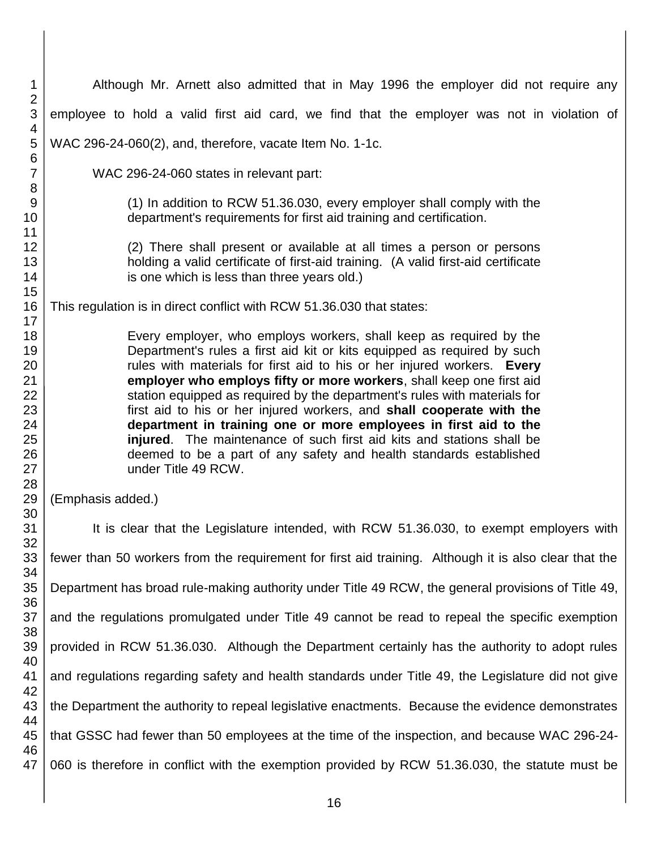| $\mathbf 1$<br>$\overline{2}$                                        | Although Mr. Arnett also admitted that in May 1996 the employer did not require any                                                                                                                                                                                                                                                                                                                                                                                                                                                                                                                                                                                                              |  |  |
|----------------------------------------------------------------------|--------------------------------------------------------------------------------------------------------------------------------------------------------------------------------------------------------------------------------------------------------------------------------------------------------------------------------------------------------------------------------------------------------------------------------------------------------------------------------------------------------------------------------------------------------------------------------------------------------------------------------------------------------------------------------------------------|--|--|
| $\mathsf 3$<br>4                                                     | employee to hold a valid first aid card, we find that the employer was not in violation of                                                                                                                                                                                                                                                                                                                                                                                                                                                                                                                                                                                                       |  |  |
| 5                                                                    | WAC 296-24-060(2), and, therefore, vacate Item No. 1-1c.                                                                                                                                                                                                                                                                                                                                                                                                                                                                                                                                                                                                                                         |  |  |
| $\,6$<br>$\overline{7}$                                              | WAC 296-24-060 states in relevant part:                                                                                                                                                                                                                                                                                                                                                                                                                                                                                                                                                                                                                                                          |  |  |
| 8<br>9<br>10<br>11                                                   | (1) In addition to RCW 51.36.030, every employer shall comply with the<br>department's requirements for first aid training and certification.                                                                                                                                                                                                                                                                                                                                                                                                                                                                                                                                                    |  |  |
| 12<br>13<br>14                                                       | (2) There shall present or available at all times a person or persons<br>holding a valid certificate of first-aid training. (A valid first-aid certificate<br>is one which is less than three years old.)                                                                                                                                                                                                                                                                                                                                                                                                                                                                                        |  |  |
| 15<br>16                                                             | This regulation is in direct conflict with RCW 51.36.030 that states:                                                                                                                                                                                                                                                                                                                                                                                                                                                                                                                                                                                                                            |  |  |
| 17<br>18<br>19<br>20<br>21<br>22<br>23<br>24<br>25<br>26<br>27<br>28 | Every employer, who employs workers, shall keep as required by the<br>Department's rules a first aid kit or kits equipped as required by such<br>rules with materials for first aid to his or her injured workers. Every<br>employer who employs fifty or more workers, shall keep one first aid<br>station equipped as required by the department's rules with materials for<br>first aid to his or her injured workers, and shall cooperate with the<br>department in training one or more employees in first aid to the<br>injured. The maintenance of such first aid kits and stations shall be<br>deemed to be a part of any safety and health standards established<br>under Title 49 RCW. |  |  |
| 29<br>30                                                             | (Emphasis added.)                                                                                                                                                                                                                                                                                                                                                                                                                                                                                                                                                                                                                                                                                |  |  |
| 31<br>32                                                             | It is clear that the Legislature intended, with RCW 51.36.030, to exempt employers with                                                                                                                                                                                                                                                                                                                                                                                                                                                                                                                                                                                                          |  |  |
| 33<br>34                                                             | fewer than 50 workers from the requirement for first aid training. Although it is also clear that the                                                                                                                                                                                                                                                                                                                                                                                                                                                                                                                                                                                            |  |  |
| 35                                                                   | Department has broad rule-making authority under Title 49 RCW, the general provisions of Title 49,                                                                                                                                                                                                                                                                                                                                                                                                                                                                                                                                                                                               |  |  |
| 36<br>37<br>38                                                       | and the regulations promulgated under Title 49 cannot be read to repeal the specific exemption                                                                                                                                                                                                                                                                                                                                                                                                                                                                                                                                                                                                   |  |  |
| 39<br>40                                                             | provided in RCW 51.36.030. Although the Department certainly has the authority to adopt rules                                                                                                                                                                                                                                                                                                                                                                                                                                                                                                                                                                                                    |  |  |
| 41<br>42                                                             | and regulations regarding safety and health standards under Title 49, the Legislature did not give                                                                                                                                                                                                                                                                                                                                                                                                                                                                                                                                                                                               |  |  |
| 43<br>44                                                             | the Department the authority to repeal legislative enactments. Because the evidence demonstrates                                                                                                                                                                                                                                                                                                                                                                                                                                                                                                                                                                                                 |  |  |
| 45                                                                   | that GSSC had fewer than 50 employees at the time of the inspection, and because WAC 296-24-                                                                                                                                                                                                                                                                                                                                                                                                                                                                                                                                                                                                     |  |  |
| 46<br>47                                                             | 060 is therefore in conflict with the exemption provided by RCW 51.36.030, the statute must be                                                                                                                                                                                                                                                                                                                                                                                                                                                                                                                                                                                                   |  |  |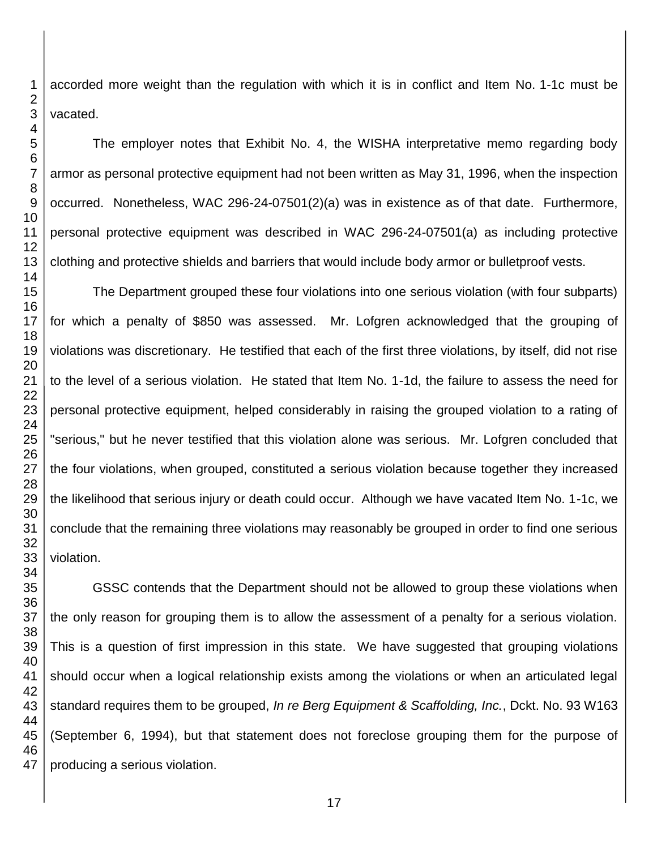accorded more weight than the regulation with which it is in conflict and Item No. 1-1c must be

The employer notes that Exhibit No. 4, the WISHA interpretative memo regarding body armor as personal protective equipment had not been written as May 31, 1996, when the inspection occurred. Nonetheless, WAC 296-24-07501(2)(a) was in existence as of that date. Furthermore, personal protective equipment was described in WAC 296-24-07501(a) as including protective clothing and protective shields and barriers that would include body armor or bulletproof vests.

The Department grouped these four violations into one serious violation (with four subparts) for which a penalty of \$850 was assessed. Mr. Lofgren acknowledged that the grouping of violations was discretionary. He testified that each of the first three violations, by itself, did not rise to the level of a serious violation. He stated that Item No. 1-1d, the failure to assess the need for personal protective equipment, helped considerably in raising the grouped violation to a rating of "serious," but he never testified that this violation alone was serious. Mr. Lofgren concluded that the four violations, when grouped, constituted a serious violation because together they increased the likelihood that serious injury or death could occur. Although we have vacated Item No. 1-1c, we conclude that the remaining three violations may reasonably be grouped in order to find one serious

 GSSC contends that the Department should not be allowed to group these violations when the only reason for grouping them is to allow the assessment of a penalty for a serious violation. This is a question of first impression in this state. We have suggested that grouping violations should occur when a logical relationship exists among the violations or when an articulated legal standard requires them to be grouped, *In re Berg Equipment & Scaffolding, Inc.*, Dckt. No. 93 W163 (September 6, 1994), but that statement does not foreclose grouping them for the purpose of producing a serious violation.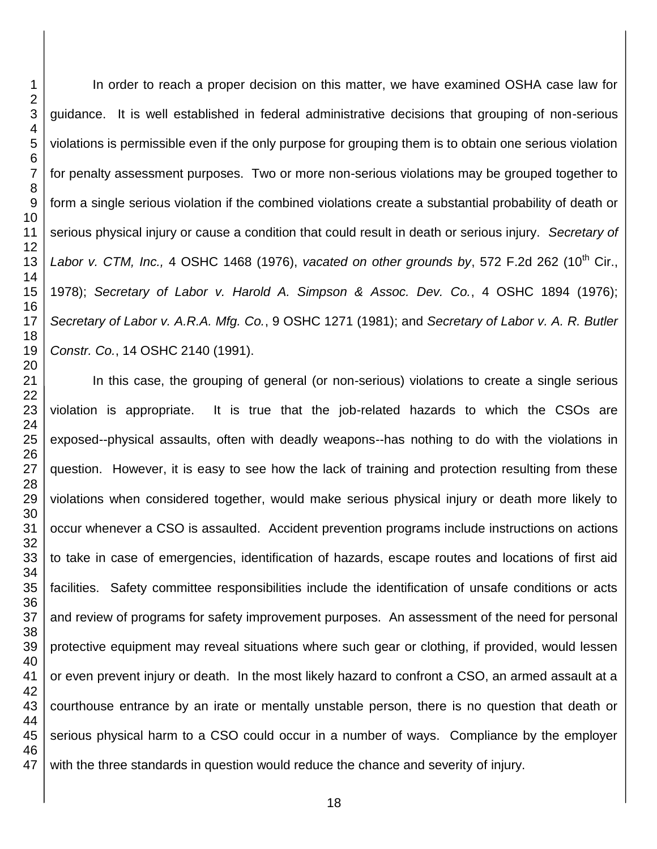In order to reach a proper decision on this matter, we have examined OSHA case law for guidance. It is well established in federal administrative decisions that grouping of non-serious violations is permissible even if the only purpose for grouping them is to obtain one serious violation for penalty assessment purposes. Two or more non-serious violations may be grouped together to form a single serious violation if the combined violations create a substantial probability of death or serious physical injury or cause a condition that could result in death or serious injury. *Secretary of Labor v. CTM, Inc.,* 4 OSHC 1468 (1976), *vacated on other grounds by*, 572 F.2d 262 (10<sup>th</sup> Cir., 1978); *Secretary of Labor v. Harold A. Simpson & Assoc. Dev. Co.*, 4 OSHC 1894 (1976); *Secretary of Labor v. A.R.A. Mfg. Co.*, 9 OSHC 1271 (1981); and *Secretary of Labor v. A. R. Butler Constr. Co.*, 14 OSHC 2140 (1991).

In this case, the grouping of general (or non-serious) violations to create a single serious violation is appropriate. It is true that the job-related hazards to which the CSOs are exposed--physical assaults, often with deadly weapons--has nothing to do with the violations in question. However, it is easy to see how the lack of training and protection resulting from these violations when considered together, would make serious physical injury or death more likely to occur whenever a CSO is assaulted. Accident prevention programs include instructions on actions to take in case of emergencies, identification of hazards, escape routes and locations of first aid facilities. Safety committee responsibilities include the identification of unsafe conditions or acts and review of programs for safety improvement purposes. An assessment of the need for personal protective equipment may reveal situations where such gear or clothing, if provided, would lessen or even prevent injury or death. In the most likely hazard to confront a CSO, an armed assault at a courthouse entrance by an irate or mentally unstable person, there is no question that death or serious physical harm to a CSO could occur in a number of ways. Compliance by the employer with the three standards in question would reduce the chance and severity of injury.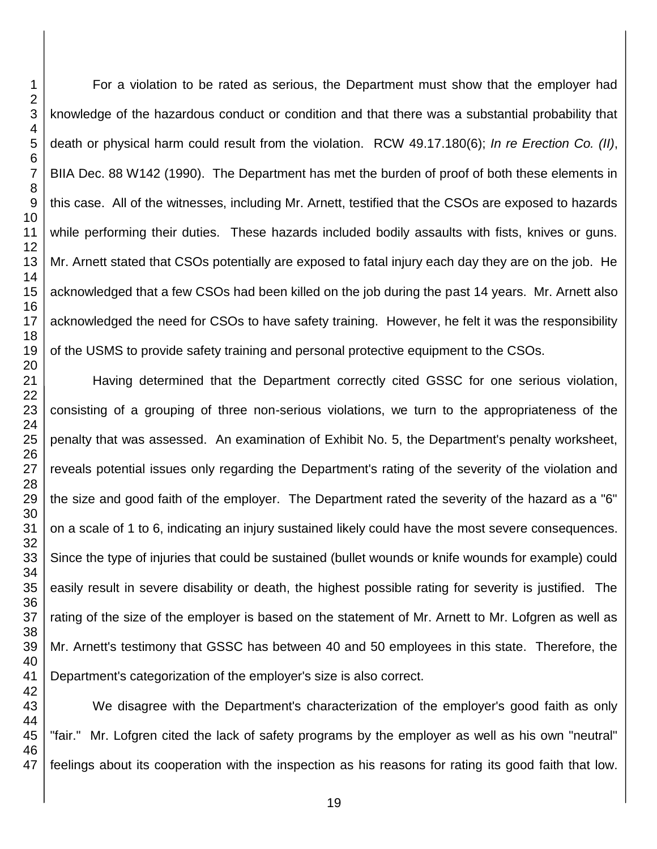For a violation to be rated as serious, the Department must show that the employer had knowledge of the hazardous conduct or condition and that there was a substantial probability that death or physical harm could result from the violation. RCW 49.17.180(6); *In re Erection Co. (II)*, BIIA Dec. 88 W142 (1990). The Department has met the burden of proof of both these elements in this case. All of the witnesses, including Mr. Arnett, testified that the CSOs are exposed to hazards while performing their duties. These hazards included bodily assaults with fists, knives or guns. Mr. Arnett stated that CSOs potentially are exposed to fatal injury each day they are on the job. He acknowledged that a few CSOs had been killed on the job during the past 14 years. Mr. Arnett also acknowledged the need for CSOs to have safety training. However, he felt it was the responsibility of the USMS to provide safety training and personal protective equipment to the CSOs.

Having determined that the Department correctly cited GSSC for one serious violation, consisting of a grouping of three non-serious violations, we turn to the appropriateness of the penalty that was assessed. An examination of Exhibit No. 5, the Department's penalty worksheet, reveals potential issues only regarding the Department's rating of the severity of the violation and the size and good faith of the employer. The Department rated the severity of the hazard as a "6" on a scale of 1 to 6, indicating an injury sustained likely could have the most severe consequences. Since the type of injuries that could be sustained (bullet wounds or knife wounds for example) could easily result in severe disability or death, the highest possible rating for severity is justified. The rating of the size of the employer is based on the statement of Mr. Arnett to Mr. Lofgren as well as Mr. Arnett's testimony that GSSC has between 40 and 50 employees in this state. Therefore, the Department's categorization of the employer's size is also correct.

We disagree with the Department's characterization of the employer's good faith as only "fair." Mr. Lofgren cited the lack of safety programs by the employer as well as his own "neutral" feelings about its cooperation with the inspection as his reasons for rating its good faith that low.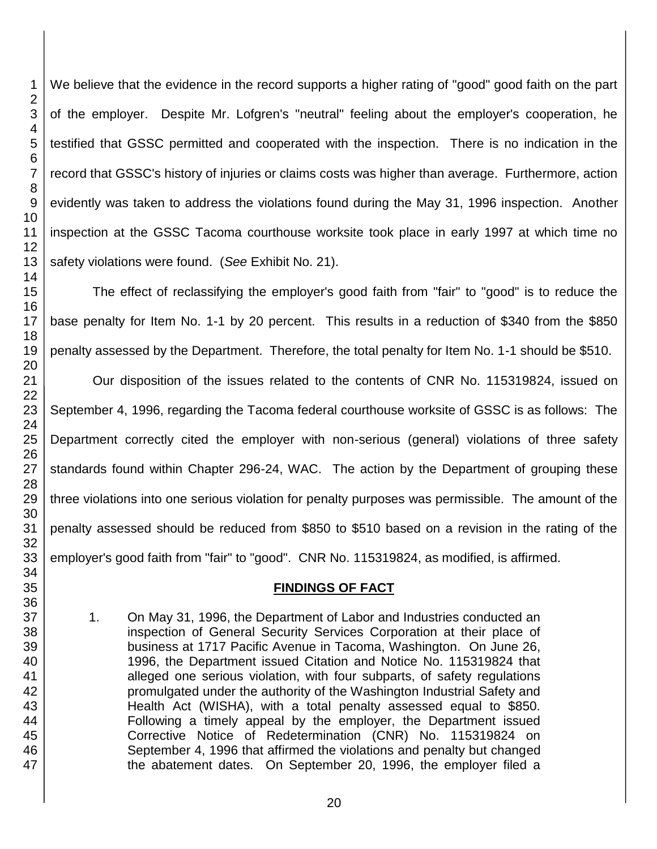We believe that the evidence in the record supports a higher rating of "good" good faith on the part of the employer. Despite Mr. Lofgren's "neutral" feeling about the employer's cooperation, he testified that GSSC permitted and cooperated with the inspection. There is no indication in the record that GSSC's history of injuries or claims costs was higher than average. Furthermore, action evidently was taken to address the violations found during the May 31, 1996 inspection. Another inspection at the GSSC Tacoma courthouse worksite took place in early 1997 at which time no safety violations were found. (*See* Exhibit No. 21).

The effect of reclassifying the employer's good faith from "fair" to "good" is to reduce the base penalty for Item No. 1-1 by 20 percent. This results in a reduction of \$340 from the \$850 penalty assessed by the Department. Therefore, the total penalty for Item No. 1-1 should be \$510.

Our disposition of the issues related to the contents of CNR No. 115319824, issued on September 4, 1996, regarding the Tacoma federal courthouse worksite of GSSC is as follows: The Department correctly cited the employer with non-serious (general) violations of three safety standards found within Chapter 296-24, WAC. The action by the Department of grouping these three violations into one serious violation for penalty purposes was permissible. The amount of the penalty assessed should be reduced from \$850 to \$510 based on a revision in the rating of the employer's good faith from "fair" to "good". CNR No. 115319824, as modified, is affirmed.

## **FINDINGS OF FACT**

1. On May 31, 1996, the Department of Labor and Industries conducted an inspection of General Security Services Corporation at their place of business at 1717 Pacific Avenue in Tacoma, Washington. On June 26, 1996, the Department issued Citation and Notice No. 115319824 that alleged one serious violation, with four subparts, of safety regulations promulgated under the authority of the Washington Industrial Safety and Health Act (WISHA), with a total penalty assessed equal to \$850. Following a timely appeal by the employer, the Department issued Corrective Notice of Redetermination (CNR) No. 115319824 on September 4, 1996 that affirmed the violations and penalty but changed the abatement dates. On September 20, 1996, the employer filed a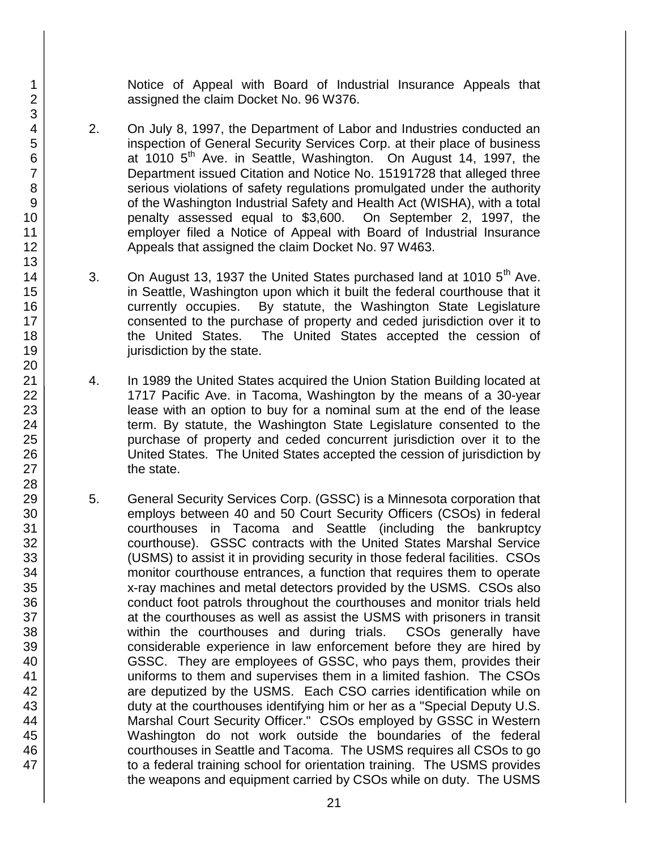Notice of Appeal with Board of Industrial Insurance Appeals that assigned the claim Docket No. 96 W376.

- 2. On July 8, 1997, the Department of Labor and Industries conducted an inspection of General Security Services Corp. at their place of business at 1010 5<sup>th</sup> Ave. in Seattle, Washington. On August 14, 1997, the Department issued Citation and Notice No. 15191728 that alleged three serious violations of safety regulations promulgated under the authority of the Washington Industrial Safety and Health Act (WISHA), with a total penalty assessed equal to \$3,600. On September 2, 1997, the employer filed a Notice of Appeal with Board of Industrial Insurance Appeals that assigned the claim Docket No. 97 W463.
- 3. On August 13, 1937 the United States purchased land at 1010  $5<sup>th</sup>$  Ave. in Seattle, Washington upon which it built the federal courthouse that it currently occupies. By statute, the Washington State Legislature consented to the purchase of property and ceded jurisdiction over it to the United States. The United States accepted the cession of jurisdiction by the state.
- 4. In 1989 the United States acquired the Union Station Building located at 1717 Pacific Ave. in Tacoma, Washington by the means of a 30-year lease with an option to buy for a nominal sum at the end of the lease term. By statute, the Washington State Legislature consented to the purchase of property and ceded concurrent jurisdiction over it to the United States. The United States accepted the cession of jurisdiction by the state.
- 5. General Security Services Corp. (GSSC) is a Minnesota corporation that employs between 40 and 50 Court Security Officers (CSOs) in federal courthouses in Tacoma and Seattle (including the bankruptcy courthouse). GSSC contracts with the United States Marshal Service (USMS) to assist it in providing security in those federal facilities. CSOs monitor courthouse entrances, a function that requires them to operate x-ray machines and metal detectors provided by the USMS. CSOs also conduct foot patrols throughout the courthouses and monitor trials held at the courthouses as well as assist the USMS with prisoners in transit within the courthouses and during trials. CSOs generally have considerable experience in law enforcement before they are hired by GSSC. They are employees of GSSC, who pays them, provides their uniforms to them and supervises them in a limited fashion. The CSOs are deputized by the USMS. Each CSO carries identification while on duty at the courthouses identifying him or her as a "Special Deputy U.S. Marshal Court Security Officer." CSOs employed by GSSC in Western Washington do not work outside the boundaries of the federal courthouses in Seattle and Tacoma. The USMS requires all CSOs to go to a federal training school for orientation training. The USMS provides the weapons and equipment carried by CSOs while on duty. The USMS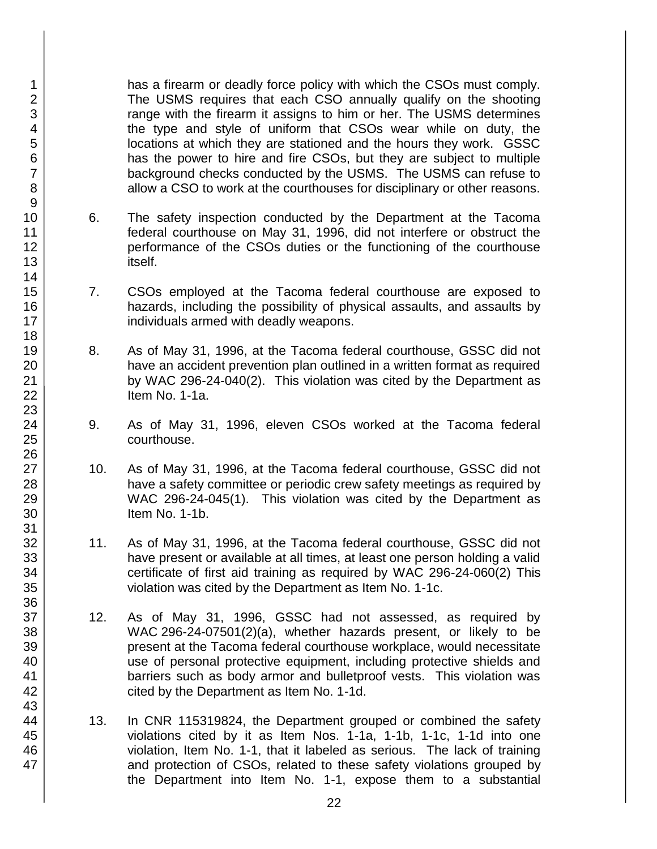has a firearm or deadly force policy with which the CSOs must comply. The USMS requires that each CSO annually qualify on the shooting range with the firearm it assigns to him or her. The USMS determines the type and style of uniform that CSOs wear while on duty, the locations at which they are stationed and the hours they work. GSSC has the power to hire and fire CSOs, but they are subject to multiple background checks conducted by the USMS. The USMS can refuse to allow a CSO to work at the courthouses for disciplinary or other reasons.

- 6. The safety inspection conducted by the Department at the Tacoma federal courthouse on May 31, 1996, did not interfere or obstruct the performance of the CSOs duties or the functioning of the courthouse itself.
- 7. CSOs employed at the Tacoma federal courthouse are exposed to hazards, including the possibility of physical assaults, and assaults by individuals armed with deadly weapons.
- 8. As of May 31, 1996, at the Tacoma federal courthouse, GSSC did not have an accident prevention plan outlined in a written format as required by WAC 296-24-040(2). This violation was cited by the Department as Item No. 1-1a.
- 9. As of May 31, 1996, eleven CSOs worked at the Tacoma federal courthouse.
- 10. As of May 31, 1996, at the Tacoma federal courthouse, GSSC did not have a safety committee or periodic crew safety meetings as required by WAC 296-24-045(1). This violation was cited by the Department as Item No. 1-1b.
- 11. As of May 31, 1996, at the Tacoma federal courthouse, GSSC did not have present or available at all times, at least one person holding a valid certificate of first aid training as required by WAC 296-24-060(2) This violation was cited by the Department as Item No. 1-1c.
- 12. As of May 31, 1996, GSSC had not assessed, as required by WAC 296-24-07501(2)(a), whether hazards present, or likely to be present at the Tacoma federal courthouse workplace, would necessitate use of personal protective equipment, including protective shields and barriers such as body armor and bulletproof vests. This violation was cited by the Department as Item No. 1-1d.
- 13. In CNR 115319824, the Department grouped or combined the safety violations cited by it as Item Nos. 1-1a, 1-1b, 1-1c, 1-1d into one violation, Item No. 1-1, that it labeled as serious. The lack of training and protection of CSOs, related to these safety violations grouped by the Department into Item No. 1-1, expose them to a substantial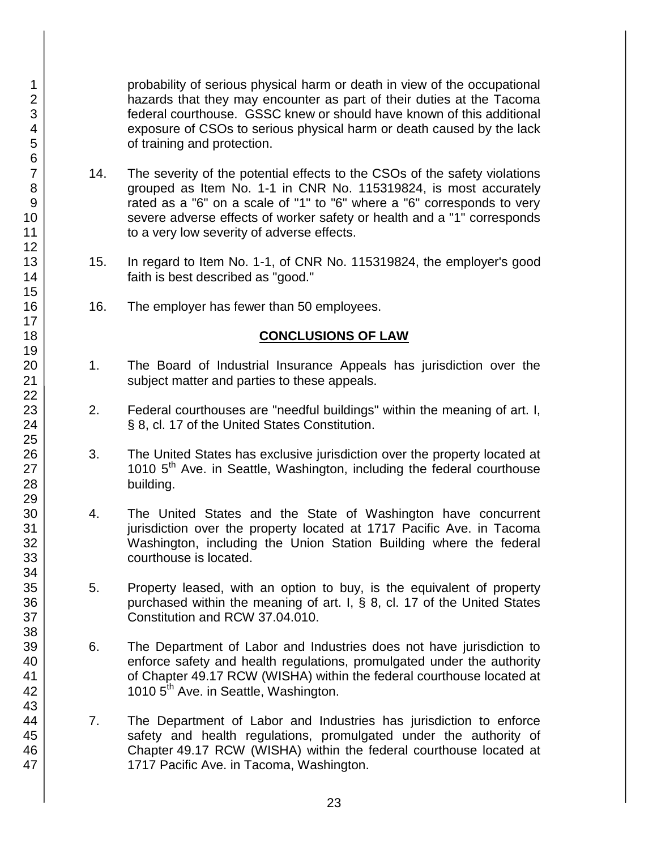probability of serious physical harm or death in view of the occupational hazards that they may encounter as part of their duties at the Tacoma federal courthouse. GSSC knew or should have known of this additional exposure of CSOs to serious physical harm or death caused by the lack of training and protection.

- 14. The severity of the potential effects to the CSOs of the safety violations grouped as Item No. 1-1 in CNR No. 115319824, is most accurately rated as a "6" on a scale of "1" to "6" where a "6" corresponds to very severe adverse effects of worker safety or health and a "1" corresponds to a very low severity of adverse effects.
- 15. In regard to Item No. 1-1, of CNR No. 115319824, the employer's good faith is best described as "good."
- 16. The employer has fewer than 50 employees.

### **CONCLUSIONS OF LAW**

- 1. The Board of Industrial Insurance Appeals has jurisdiction over the subject matter and parties to these appeals.
- 2. Federal courthouses are "needful buildings" within the meaning of art. I, § 8, cl. 17 of the United States Constitution.
- 3. The United States has exclusive jurisdiction over the property located at 1010 5<sup>th</sup> Ave. in Seattle, Washington, including the federal courthouse building.
- 4. The United States and the State of Washington have concurrent jurisdiction over the property located at 1717 Pacific Ave. in Tacoma Washington, including the Union Station Building where the federal courthouse is located.
- 5. Property leased, with an option to buy, is the equivalent of property purchased within the meaning of art. I, § 8, cl. 17 of the United States Constitution and RCW 37.04.010.
- 6. The Department of Labor and Industries does not have jurisdiction to enforce safety and health regulations, promulgated under the authority of Chapter 49.17 RCW (WISHA) within the federal courthouse located at 1010 5<sup>th</sup> Ave. in Seattle, Washington.
- 7. The Department of Labor and Industries has jurisdiction to enforce safety and health regulations, promulgated under the authority of Chapter 49.17 RCW (WISHA) within the federal courthouse located at 1717 Pacific Ave. in Tacoma, Washington.